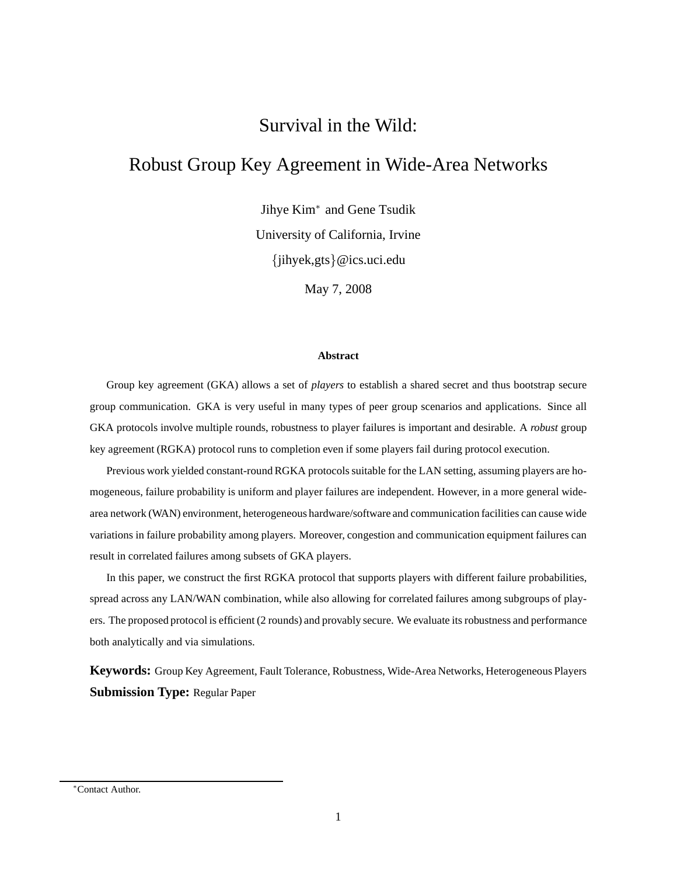# Survival in the Wild:

# Robust Group Key Agreement in Wide-Area Networks

Jihye Kim<sup>∗</sup> and Gene Tsudik University of California, Irvine {jihyek,gts}@ics.uci.edu

May 7, 2008

#### **Abstract**

Group key agreement (GKA) allows a set of *players* to establish a shared secret and thus bootstrap secure group communication. GKA is very useful in many types of peer group scenarios and applications. Since all GKA protocols involve multiple rounds, robustness to player failures is important and desirable. A *robust* group key agreement (RGKA) protocol runs to completion even if some players fail during protocol execution.

Previous work yielded constant-round RGKA protocols suitable for the LAN setting, assuming players are homogeneous, failure probability is uniform and player failures are independent. However, in a more general widearea network (WAN) environment, heterogeneous hardware/software and communication facilities can cause wide variations in failure probability among players. Moreover, congestion and communication equipment failures can result in correlated failures among subsets of GKA players.

In this paper, we construct the first RGKA protocol that supports players with different failure probabilities, spread across any LAN/WAN combination, while also allowing for correlated failures among subgroups of players. The proposed protocol is efficient (2 rounds) and provably secure. We evaluate its robustness and performance both analytically and via simulations.

**Keywords:** Group Key Agreement, Fault Tolerance, Robustness, Wide-Area Networks, Heterogeneous Players **Submission Type:** Regular Paper

<sup>∗</sup>Contact Author.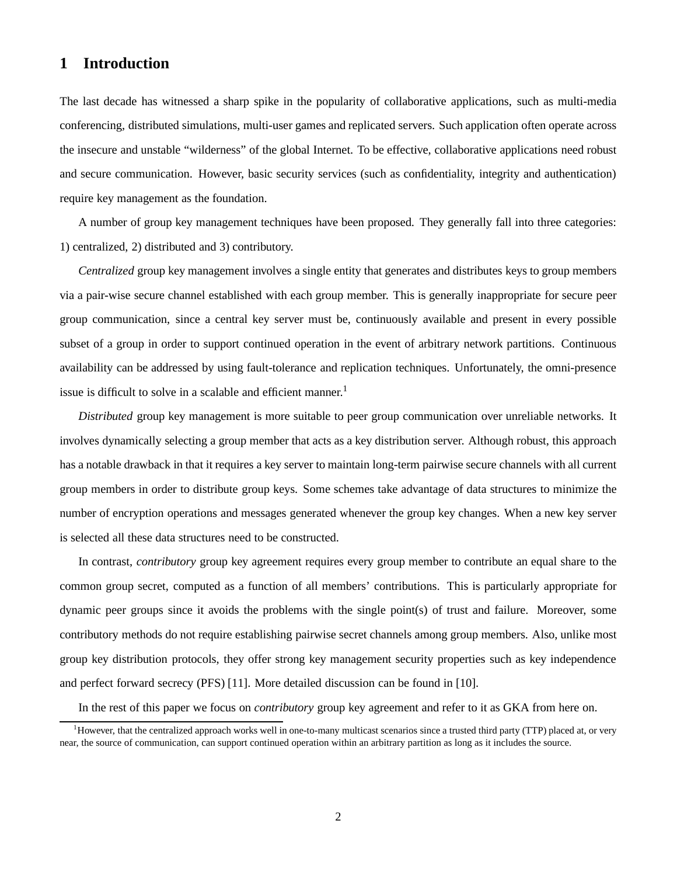## **1 Introduction**

The last decade has witnessed a sharp spike in the popularity of collaborative applications, such as multi-media conferencing, distributed simulations, multi-user games and replicated servers. Such application often operate across the insecure and unstable "wilderness" of the global Internet. To be effective, collaborative applications need robust and secure communication. However, basic security services (such as confidentiality, integrity and authentication) require key management as the foundation.

A number of group key management techniques have been proposed. They generally fall into three categories: 1) centralized, 2) distributed and 3) contributory.

*Centralized* group key management involves a single entity that generates and distributes keys to group members via a pair-wise secure channel established with each group member. This is generally inappropriate for secure peer group communication, since a central key server must be, continuously available and present in every possible subset of a group in order to support continued operation in the event of arbitrary network partitions. Continuous availability can be addressed by using fault-tolerance and replication techniques. Unfortunately, the omni-presence issue is difficult to solve in a scalable and efficient manner.<sup>1</sup>

*Distributed* group key management is more suitable to peer group communication over unreliable networks. It involves dynamically selecting a group member that acts as a key distribution server. Although robust, this approach has a notable drawback in that it requires a key server to maintain long-term pairwise secure channels with all current group members in order to distribute group keys. Some schemes take advantage of data structures to minimize the number of encryption operations and messages generated whenever the group key changes. When a new key server is selected all these data structures need to be constructed.

In contrast, *contributory* group key agreement requires every group member to contribute an equal share to the common group secret, computed as a function of all members' contributions. This is particularly appropriate for dynamic peer groups since it avoids the problems with the single point(s) of trust and failure. Moreover, some contributory methods do not require establishing pairwise secret channels among group members. Also, unlike most group key distribution protocols, they offer strong key management security properties such as key independence and perfect forward secrecy (PFS) [11]. More detailed discussion can be found in [10].

In the rest of this paper we focus on *contributory* group key agreement and refer to it as GKA from here on.

<sup>&</sup>lt;sup>1</sup>However, that the centralized approach works well in one-to-many multicast scenarios since a trusted third party (TTP) placed at, or very near, the source of communication, can support continued operation within an arbitrary partition as long as it includes the source.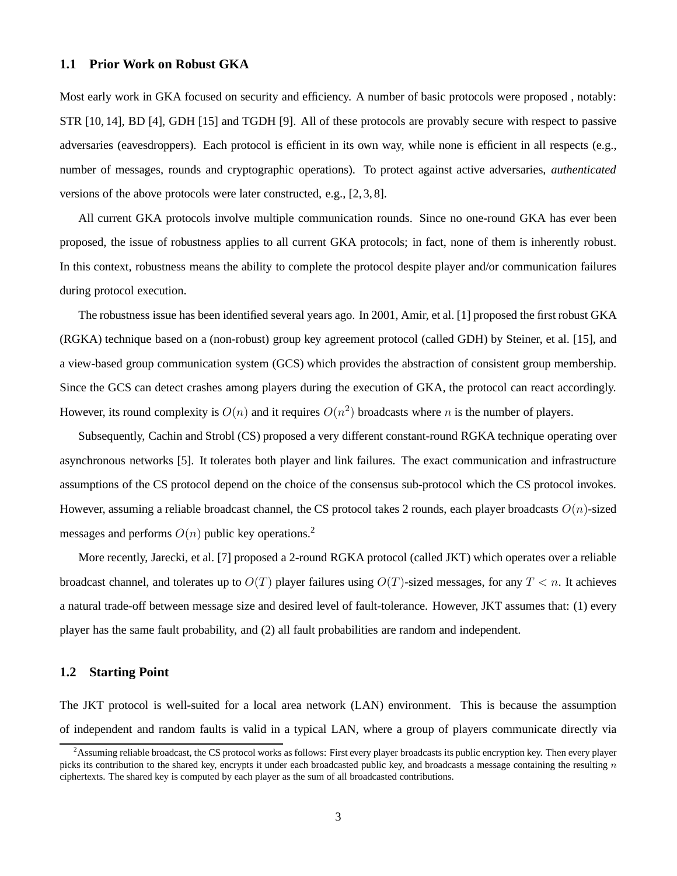### **1.1 Prior Work on Robust GKA**

Most early work in GKA focused on security and efficiency. A number of basic protocols were proposed , notably: STR [10, 14], BD [4], GDH [15] and TGDH [9]. All of these protocols are provably secure with respect to passive adversaries (eavesdroppers). Each protocol is efficient in its own way, while none is efficient in all respects (e.g., number of messages, rounds and cryptographic operations). To protect against active adversaries, *authenticated* versions of the above protocols were later constructed, e.g., [2, 3, 8].

All current GKA protocols involve multiple communication rounds. Since no one-round GKA has ever been proposed, the issue of robustness applies to all current GKA protocols; in fact, none of them is inherently robust. In this context, robustness means the ability to complete the protocol despite player and/or communication failures during protocol execution.

The robustness issue has been identified several years ago. In 2001, Amir, et al. [1] proposed the first robust GKA (RGKA) technique based on a (non-robust) group key agreement protocol (called GDH) by Steiner, et al. [15], and a view-based group communication system (GCS) which provides the abstraction of consistent group membership. Since the GCS can detect crashes among players during the execution of GKA, the protocol can react accordingly. However, its round complexity is  $O(n)$  and it requires  $O(n^2)$  broadcasts where n is the number of players.

Subsequently, Cachin and Strobl (CS) proposed a very different constant-round RGKA technique operating over asynchronous networks [5]. It tolerates both player and link failures. The exact communication and infrastructure assumptions of the CS protocol depend on the choice of the consensus sub-protocol which the CS protocol invokes. However, assuming a reliable broadcast channel, the CS protocol takes 2 rounds, each player broadcasts  $O(n)$ -sized messages and performs  $O(n)$  public key operations.<sup>2</sup>

More recently, Jarecki, et al. [7] proposed a 2-round RGKA protocol (called JKT) which operates over a reliable broadcast channel, and tolerates up to  $O(T)$  player failures using  $O(T)$ -sized messages, for any  $T < n$ . It achieves a natural trade-off between message size and desired level of fault-tolerance. However, JKT assumes that: (1) every player has the same fault probability, and (2) all fault probabilities are random and independent.

### **1.2 Starting Point**

The JKT protocol is well-suited for a local area network (LAN) environment. This is because the assumption of independent and random faults is valid in a typical LAN, where a group of players communicate directly via

<sup>&</sup>lt;sup>2</sup>Assuming reliable broadcast, the CS protocol works as follows: First every player broadcasts its public encryption key. Then every player picks its contribution to the shared key, encrypts it under each broadcasted public key, and broadcasts a message containing the resulting  $n$ ciphertexts. The shared key is computed by each player as the sum of all broadcasted contributions.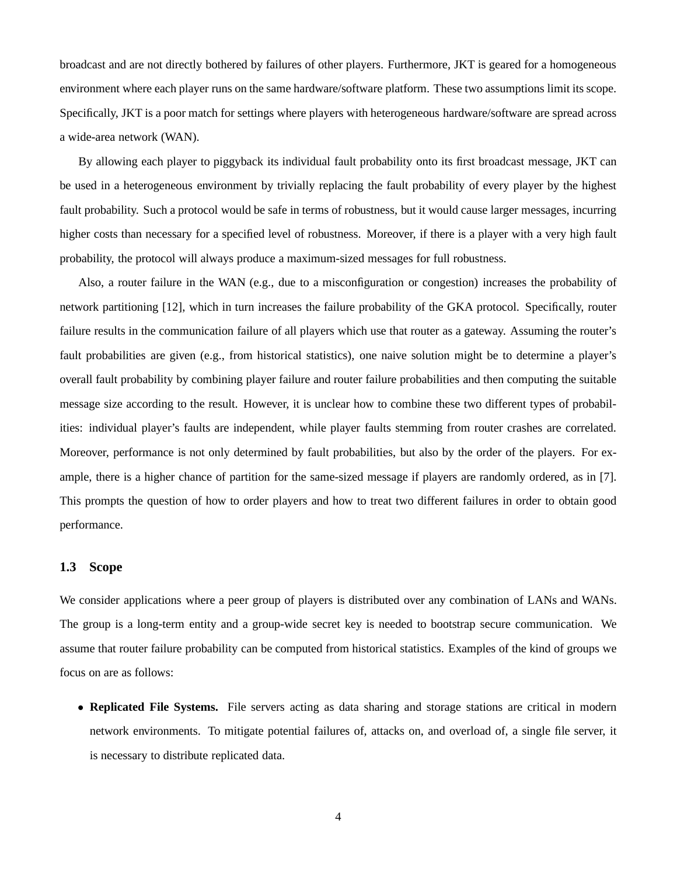broadcast and are not directly bothered by failures of other players. Furthermore, JKT is geared for a homogeneous environment where each player runs on the same hardware/software platform. These two assumptions limit its scope. Specifically, JKT is a poor match for settings where players with heterogeneous hardware/software are spread across a wide-area network (WAN).

By allowing each player to piggyback its individual fault probability onto its first broadcast message, JKT can be used in a heterogeneous environment by trivially replacing the fault probability of every player by the highest fault probability. Such a protocol would be safe in terms of robustness, but it would cause larger messages, incurring higher costs than necessary for a specified level of robustness. Moreover, if there is a player with a very high fault probability, the protocol will always produce a maximum-sized messages for full robustness.

Also, a router failure in the WAN (e.g., due to a misconfiguration or congestion) increases the probability of network partitioning [12], which in turn increases the failure probability of the GKA protocol. Specifically, router failure results in the communication failure of all players which use that router as a gateway. Assuming the router's fault probabilities are given (e.g., from historical statistics), one naive solution might be to determine a player's overall fault probability by combining player failure and router failure probabilities and then computing the suitable message size according to the result. However, it is unclear how to combine these two different types of probabilities: individual player's faults are independent, while player faults stemming from router crashes are correlated. Moreover, performance is not only determined by fault probabilities, but also by the order of the players. For example, there is a higher chance of partition for the same-sized message if players are randomly ordered, as in [7]. This prompts the question of how to order players and how to treat two different failures in order to obtain good performance.

### **1.3 Scope**

We consider applications where a peer group of players is distributed over any combination of LANs and WANs. The group is a long-term entity and a group-wide secret key is needed to bootstrap secure communication. We assume that router failure probability can be computed from historical statistics. Examples of the kind of groups we focus on are as follows:

• **Replicated File Systems.** File servers acting as data sharing and storage stations are critical in modern network environments. To mitigate potential failures of, attacks on, and overload of, a single file server, it is necessary to distribute replicated data.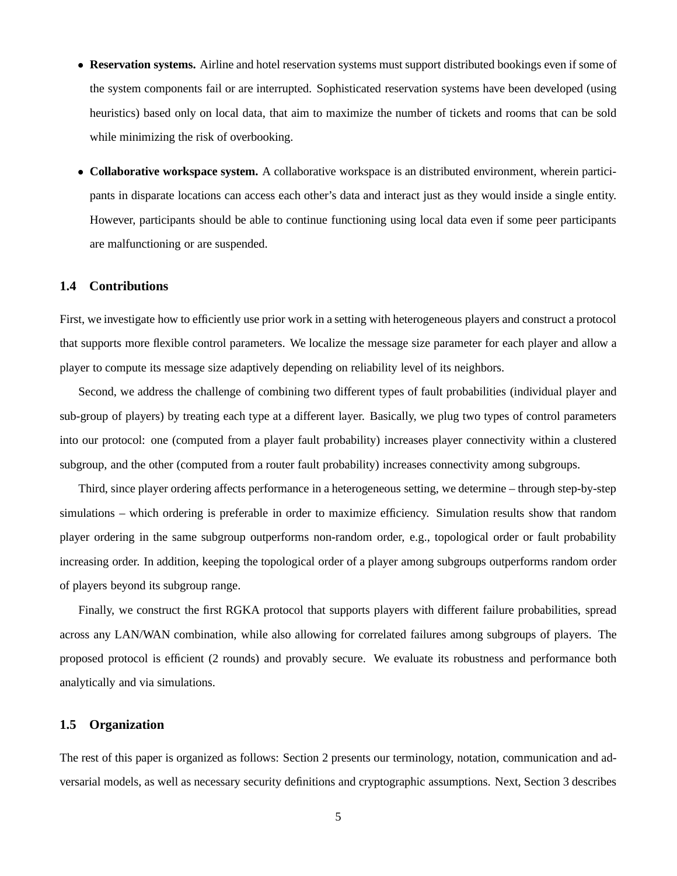- **Reservation systems.** Airline and hotel reservation systems must support distributed bookings even if some of the system components fail or are interrupted. Sophisticated reservation systems have been developed (using heuristics) based only on local data, that aim to maximize the number of tickets and rooms that can be sold while minimizing the risk of overbooking.
- **Collaborative workspace system.** A collaborative workspace is an distributed environment, wherein participants in disparate locations can access each other's data and interact just as they would inside a single entity. However, participants should be able to continue functioning using local data even if some peer participants are malfunctioning or are suspended.

### **1.4 Contributions**

First, we investigate how to efficiently use prior work in a setting with heterogeneous players and construct a protocol that supports more flexible control parameters. We localize the message size parameter for each player and allow a player to compute its message size adaptively depending on reliability level of its neighbors.

Second, we address the challenge of combining two different types of fault probabilities (individual player and sub-group of players) by treating each type at a different layer. Basically, we plug two types of control parameters into our protocol: one (computed from a player fault probability) increases player connectivity within a clustered subgroup, and the other (computed from a router fault probability) increases connectivity among subgroups.

Third, since player ordering affects performance in a heterogeneous setting, we determine – through step-by-step simulations – which ordering is preferable in order to maximize efficiency. Simulation results show that random player ordering in the same subgroup outperforms non-random order, e.g., topological order or fault probability increasing order. In addition, keeping the topological order of a player among subgroups outperforms random order of players beyond its subgroup range.

Finally, we construct the first RGKA protocol that supports players with different failure probabilities, spread across any LAN/WAN combination, while also allowing for correlated failures among subgroups of players. The proposed protocol is efficient (2 rounds) and provably secure. We evaluate its robustness and performance both analytically and via simulations.

### **1.5 Organization**

The rest of this paper is organized as follows: Section 2 presents our terminology, notation, communication and adversarial models, as well as necessary security definitions and cryptographic assumptions. Next, Section 3 describes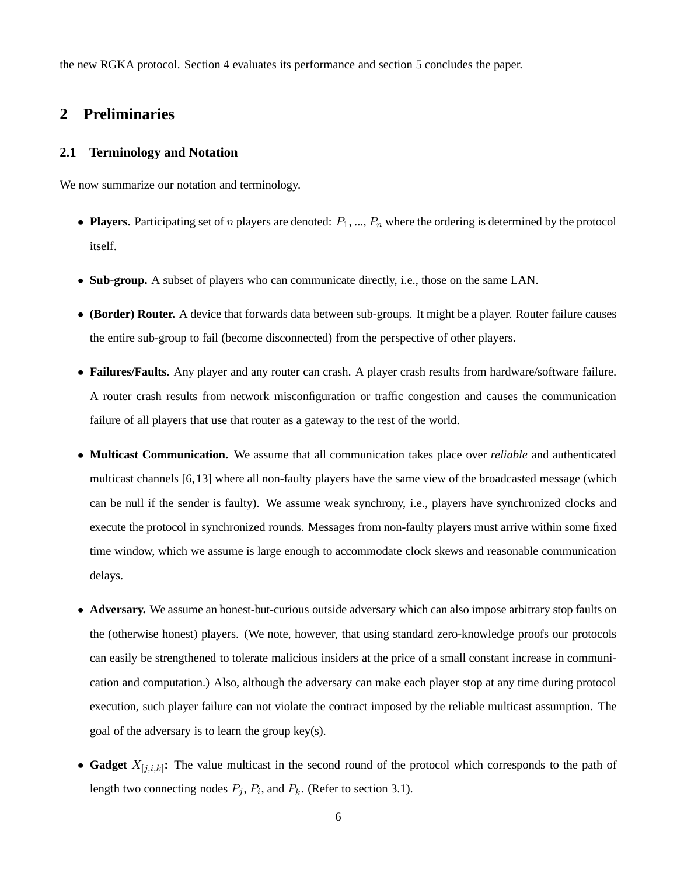the new RGKA protocol. Section 4 evaluates its performance and section 5 concludes the paper.

## **2 Preliminaries**

### **2.1 Terminology and Notation**

We now summarize our notation and terminology.

- **Players.** Participating set of *n* players are denoted:  $P_1, ..., P_n$  where the ordering is determined by the protocol itself.
- **Sub-group.** A subset of players who can communicate directly, i.e., those on the same LAN.
- **(Border) Router.** A device that forwards data between sub-groups. It might be a player. Router failure causes the entire sub-group to fail (become disconnected) from the perspective of other players.
- **Failures/Faults.** Any player and any router can crash. A player crash results from hardware/software failure. A router crash results from network misconfiguration or traffic congestion and causes the communication failure of all players that use that router as a gateway to the rest of the world.
- **Multicast Communication.** We assume that all communication takes place over *reliable* and authenticated multicast channels [6,13] where all non-faulty players have the same view of the broadcasted message (which can be null if the sender is faulty). We assume weak synchrony, i.e., players have synchronized clocks and execute the protocol in synchronized rounds. Messages from non-faulty players must arrive within some fixed time window, which we assume is large enough to accommodate clock skews and reasonable communication delays.
- **Adversary.** We assume an honest-but-curious outside adversary which can also impose arbitrary stop faults on the (otherwise honest) players. (We note, however, that using standard zero-knowledge proofs our protocols can easily be strengthened to tolerate malicious insiders at the price of a small constant increase in communication and computation.) Also, although the adversary can make each player stop at any time during protocol execution, such player failure can not violate the contract imposed by the reliable multicast assumption. The goal of the adversary is to learn the group key(s).
- **Gadget**  $X_{[j,i,k]}$ : The value multicast in the second round of the protocol which corresponds to the path of length two connecting nodes  $P_j$ ,  $P_i$ , and  $P_k$ . (Refer to section 3.1).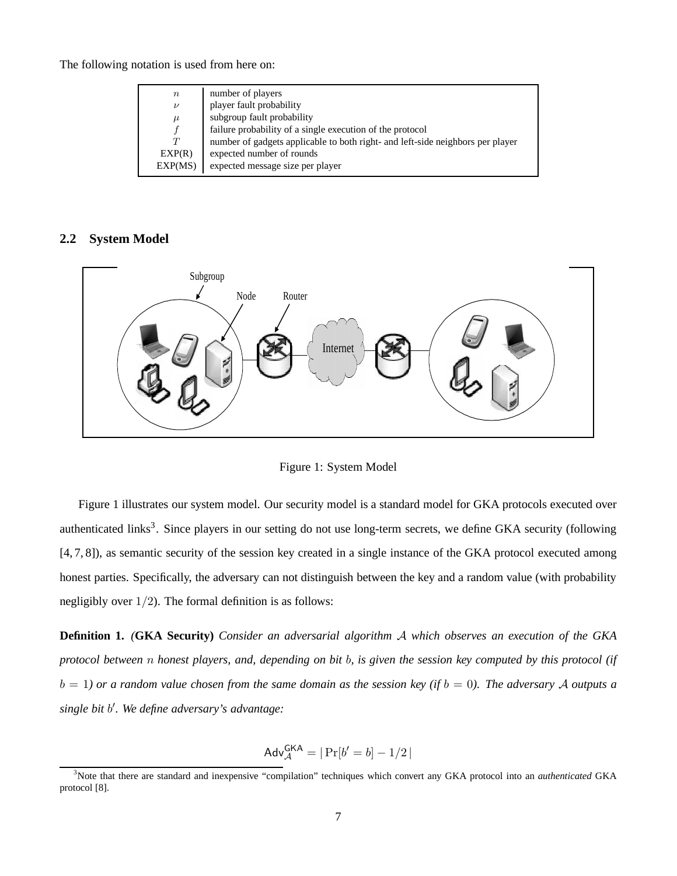The following notation is used from here on:

| $\, n$  | number of players                                                              |
|---------|--------------------------------------------------------------------------------|
| $\nu$   | player fault probability                                                       |
| $\mu$   | subgroup fault probability                                                     |
|         | failure probability of a single execution of the protocol                      |
| T       | number of gadgets applicable to both right- and left-side neighbors per player |
| EXP(R)  | expected number of rounds                                                      |
| EXP(MS) | expected message size per player                                               |

### **2.2 System Model**



Figure 1: System Model

Figure 1 illustrates our system model. Our security model is a standard model for GKA protocols executed over authenticated links<sup>3</sup>. Since players in our setting do not use long-term secrets, we define GKA security (following [4, 7, 8]), as semantic security of the session key created in a single instance of the GKA protocol executed among honest parties. Specifically, the adversary can not distinguish between the key and a random value (with probability negligibly over  $1/2$ ). The formal definition is as follows:

**Definition 1.** *(***GKA Security)** *Consider an adversarial algorithm* A *which observes an execution of the GKA protocol between* n *honest players, and, depending on bit* b*, is given the session key computed by this protocol (if*  $b = 1$ ) or a random value chosen from the same domain as the session key (if  $b = 0$ ). The adversary A outputs a *single bit* b ′ *. We define adversary's advantage:*

$$
Adv_{\mathcal{A}}^{\text{GKA}} = |\Pr[b' = b] - 1/2|
$$

<sup>3</sup>Note that there are standard and inexpensive "compilation" techniques which convert any GKA protocol into an *authenticated* GKA protocol [8].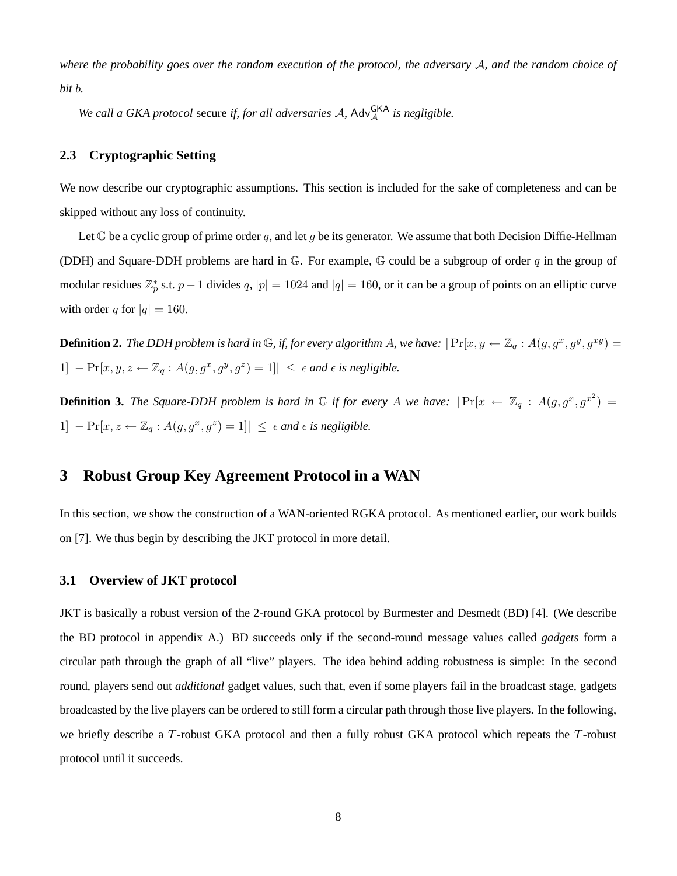*where the probability goes over the random execution of the protocol, the adversary* A*, and the random choice of bit* b*.*

We call a GKA protocol secure if, for all adversaries  $A$ ,  $Adv_{\mathcal{A}}^{\text{GKA}}$  is negligible.

### **2.3 Cryptographic Setting**

We now describe our cryptographic assumptions. This section is included for the sake of completeness and can be skipped without any loss of continuity.

Let  $\mathbb G$  be a cyclic group of prime order q, and let g be its generator. We assume that both Decision Diffie-Hellman (DDH) and Square-DDH problems are hard in  $\mathbb{G}$ . For example,  $\mathbb{G}$  could be a subgroup of order q in the group of modular residues  $\mathbb{Z}_p^*$  s.t.  $p-1$  divides  $q$ ,  $|p|=1024$  and  $|q|=160$ , or it can be a group of points on an elliptic curve with order q for  $|q| = 160$ .

**Definition 2.** The DDH problem is hard in  $\mathbb{G}$ , if, for every algorithm A, we have:  $\Pr[x, y \leftarrow \mathbb{Z}_q : A(g, g^x, g^y, g^{xy}) =$ 1]  $-{\Pr}[x, y, z \leftarrow \mathbb{Z}_q : A(g, g^x, g^y, g^z) = 1] \le \epsilon$  and  $\epsilon$  is negligible.

**Definition 3.** The Square-DDH problem is hard in  $\mathbb G$  if for every A we have:  $|\Pr[x \leftarrow \mathbb{Z}_q : A(g, g^x, g^{x^2}) =$ 1]  $-Pr[x, z \leftarrow \mathbb{Z}_q : A(g, g^x, g^z) = 1]$ | ≤  $\epsilon$  *and*  $\epsilon$  *is negligible.* 

## **3 Robust Group Key Agreement Protocol in a WAN**

In this section, we show the construction of a WAN-oriented RGKA protocol. As mentioned earlier, our work builds on [7]. We thus begin by describing the JKT protocol in more detail.

#### **3.1 Overview of JKT protocol**

JKT is basically a robust version of the 2-round GKA protocol by Burmester and Desmedt (BD) [4]. (We describe the BD protocol in appendix A.) BD succeeds only if the second-round message values called *gadgets* form a circular path through the graph of all "live" players. The idea behind adding robustness is simple: In the second round, players send out *additional* gadget values, such that, even if some players fail in the broadcast stage, gadgets broadcasted by the live players can be ordered to still form a circular path through those live players. In the following, we briefly describe a T-robust GKA protocol and then a fully robust GKA protocol which repeats the T-robust protocol until it succeeds.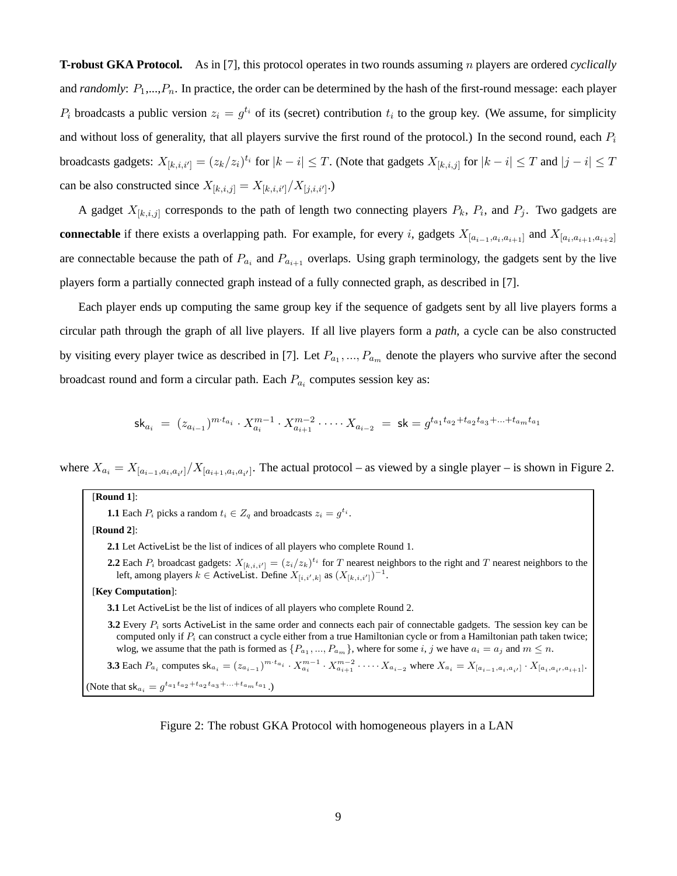**T-robust GKA Protocol.** As in [7], this protocol operates in two rounds assuming n players are ordered *cyclically* and *randomly*:  $P_1, ..., P_n$ . In practice, the order can be determined by the hash of the first-round message: each player  $P_i$  broadcasts a public version  $z_i = g^{t_i}$  of its (secret) contribution  $t_i$  to the group key. (We assume, for simplicity and without loss of generality, that all players survive the first round of the protocol.) In the second round, each  $P_i$ broadcasts gadgets:  $X_{[k,i,i']}=(z_k/z_i)^{t_i}$  for  $|k-i|\leq T$ . (Note that gadgets  $X_{[k,i,j]}$  for  $|k-i|\leq T$  and  $|j-i|\leq T$ can be also constructed since  $X_{[k,i,j]} = X_{[k,i,i']} / X_{[j,i,i']}$ .)

A gadget  $X_{[k,i,j]}$  corresponds to the path of length two connecting players  $P_k$ ,  $P_i$ , and  $P_j$ . Two gadgets are **connectable** if there exists a overlapping path. For example, for every i, gadgets  $X_{[a_{i-1},a_i,a_{i+1}]}$  and  $X_{[a_i,a_{i+1},a_{i+2}]}$ are connectable because the path of  $P_{a_i}$  and  $P_{a_{i+1}}$  overlaps. Using graph terminology, the gadgets sent by the live players form a partially connected graph instead of a fully connected graph, as described in [7].

Each player ends up computing the same group key if the sequence of gadgets sent by all live players forms a circular path through the graph of all live players. If all live players form a *path*, a cycle can be also constructed by visiting every player twice as described in [7]. Let  $P_{a_1},...,P_{a_m}$  denote the players who survive after the second broadcast round and form a circular path. Each  $P_{a_i}$  computes session key as:

$$
\mathsf{sk}_{a_i} \; = \; (z_{a_{i-1}})^{m \cdot t_{a_i}} \cdot X_{a_i}^{m-1} \cdot X_{a_{i+1}}^{m-2} \cdot \dots \cdot X_{a_{i-2}} \; = \; \mathsf{sk} = g^{t_{a_1} t_{a_2} + t_{a_2} t_{a_3} + \dots + t_{a_m} t_{a_1}}
$$

where  $X_{a_i} = X_{[a_{i-1},a_i,a_{i'}]} / X_{[a_{i+1},a_i,a_{i'}]}$ . The actual protocol – as viewed by a single player – is shown in Figure 2.

#### [**Round 1**]:

**1.1** Each  $P_i$  picks a random  $t_i \in Z_q$  and broadcasts  $z_i = g^{t_i}$ .

[**Round 2**]:

**2.1** Let ActiveList be the list of indices of all players who complete Round 1.

**2.2** Each  $P_i$  broadcast gadgets:  $X_{[k,i,i']} = (z_i/z_k)^{t_i}$  for T nearest neighbors to the right and T nearest neighbors to the left, among players  $k \in$  ActiveList. Define  $X_{[i,i',k]}$  as  $(X_{[k,i,i']} )^{-1}$ .

#### [**Key Computation**]:

**3.1** Let ActiveList be the list of indices of all players who complete Round 2.

**3.2** Every  $P_i$  sorts ActiveList in the same order and connects each pair of connectable gadgets. The session key can be computed only if  $P_i$  can construct a cycle either from a true Hamiltonian cycle or from a Hamiltonian path taken twice; wlog, we assume that the path is formed as  $\{P_{a_1},...,P_{a_m}\}$ , where for some i, j we have  $a_i = a_j$  and  $m \leq n$ .

**3.3** Each  $P_{a_i}$  computes  $\mathsf{sk}_{a_i} = (z_{a_{i-1}})^{m \cdot t_{a_i}} \cdot X_{a_i}^{m-1} \cdot X_{a_{i+1}}^{m-2} \cdot \dots \cdot X_{a_{i-2}}$  where  $X_{a_i} = X_{[a_{i-1}, a_i, a_{i'}]} \cdot X_{[a_i, a_{i'}, a_{i+1}]}$ . (Note that  $\mathsf{sk}_{a_i} = g^{t_{a_1} t_{a_2} + t_{a_2} t_{a_3} + \ldots + t_{a_m} t_{a_1}}$ .)

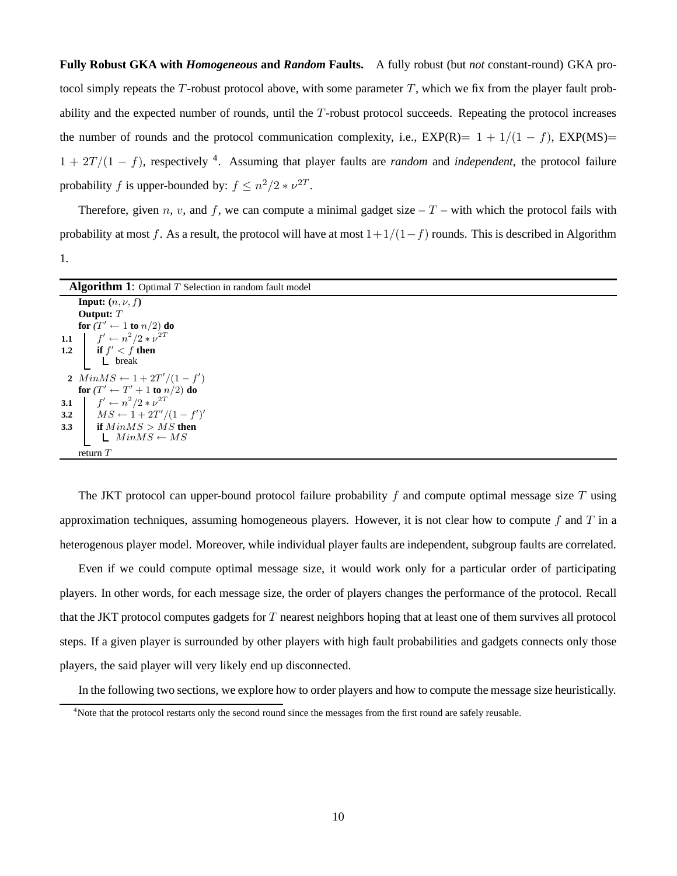**Fully Robust GKA with** *Homogeneous* **and** *Random* **Faults.** A fully robust (but *not* constant-round) GKA protocol simply repeats the  $T$ -robust protocol above, with some parameter  $T$ , which we fix from the player fault probability and the expected number of rounds, until the T-robust protocol succeeds. Repeating the protocol increases the number of rounds and the protocol communication complexity, i.e.,  $EXP(R)= 1 + 1/(1 - f)$ ,  $EXP(MS)=$  $1 + 2T/(1 - f)$ , respectively <sup>4</sup>. Assuming that player faults are *random* and *independent*, the protocol failure probability f is upper-bounded by:  $f \leq n^2/2 * \nu^{2T}$ .

Therefore, given n, v, and f, we can compute a minimal gadget size  $-T$  – with which the protocol fails with probability at most f. As a result, the protocol will have at most  $1+1/(1-f)$  rounds. This is described in Algorithm 1.

| <b>Algorithm 1:</b> Optimal $T$ Selection in random fault model |
|-----------------------------------------------------------------|
| <b>Input:</b> $(n, \nu, f)$                                     |
| Output: $T$                                                     |
| for $(T' \leftarrow 1$ to $n/2$ ) do                            |
| 1.1 $f' \leftarrow n^2/2 * \nu^{2T}$                            |
| 1.2 if $f' < f$ then                                            |
| $\mathsf{L}$ break                                              |
| 2 $MinMS \leftarrow 1 + 2T'/(1 - f')$                           |
| for $(T' \leftarrow T' + 1$ to $n/2$ ) do                       |
| 3.1 $f' \leftarrow n^2/2 * \nu^{2T}$                            |
| $MS \leftarrow 1 + 2T'/(1 - f')'$<br>3.2                        |
| if $MinMS > MS$ then<br>3.3                                     |
| $\mathsf{L}$ MinMS $\leftarrow MS$                              |
| return $T$                                                      |

The JKT protocol can upper-bound protocol failure probability  $f$  and compute optimal message size  $T$  using approximation techniques, assuming homogeneous players. However, it is not clear how to compute f and  $T$  in a heterogenous player model. Moreover, while individual player faults are independent, subgroup faults are correlated.

Even if we could compute optimal message size, it would work only for a particular order of participating players. In other words, for each message size, the order of players changes the performance of the protocol. Recall that the JKT protocol computes gadgets for T nearest neighbors hoping that at least one of them survives all protocol steps. If a given player is surrounded by other players with high fault probabilities and gadgets connects only those players, the said player will very likely end up disconnected.

In the following two sections, we explore how to order players and how to compute the message size heuristically.

<sup>&</sup>lt;sup>4</sup>Note that the protocol restarts only the second round since the messages from the first round are safely reusable.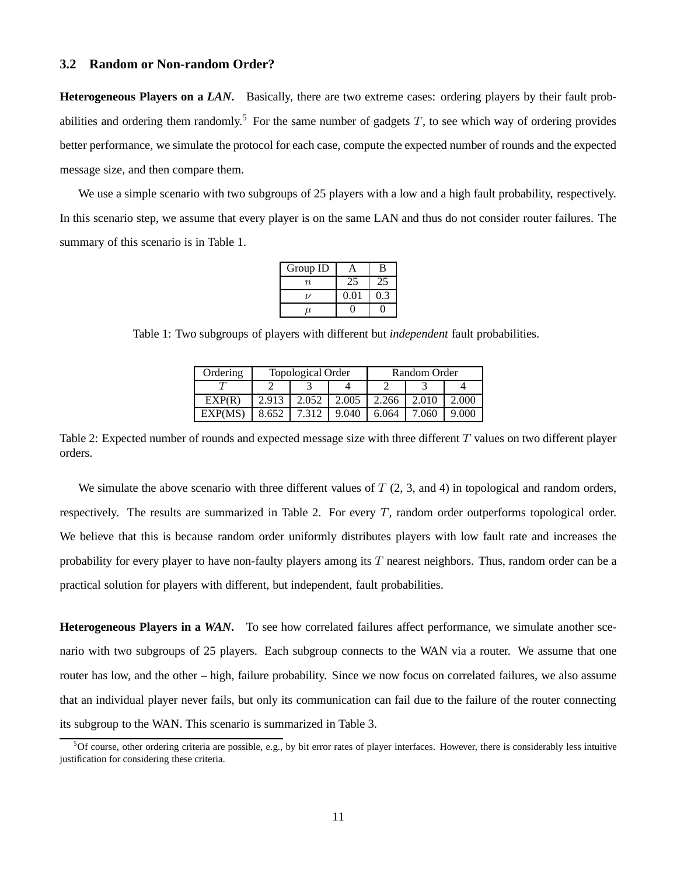#### **3.2 Random or Non-random Order?**

**Heterogeneous Players on a** *LAN***.** Basically, there are two extreme cases: ordering players by their fault probabilities and ordering them randomly.<sup>5</sup> For the same number of gadgets T, to see which way of ordering provides better performance, we simulate the protocol for each case, compute the expected number of rounds and the expected message size, and then compare them.

We use a simple scenario with two subgroups of 25 players with a low and a high fault probability, respectively. In this scenario step, we assume that every player is on the same LAN and thus do not consider router failures. The summary of this scenario is in Table 1.

| Group ID    | -    | B   |
|-------------|------|-----|
| $n_{\rm c}$ |      |     |
| $_{\nu}$    | 0.01 | 0.3 |
| $_{\mu}$    |      |     |

Table 1: Two subgroups of players with different but *independent* fault probabilities.

| Ordering | <b>Topological Order</b> |       |       | Random Order |       |       |
|----------|--------------------------|-------|-------|--------------|-------|-------|
|          |                          |       |       |              |       |       |
| EXP(R)   | 2.913                    | 2.052 | 2.005 | 2.266        | 2.010 | 2.000 |
| EXP(MS)  | 8.652                    |       | 9.040 | 6.064        | 7 060 | 9.000 |

Table 2: Expected number of rounds and expected message size with three different T values on two different player orders.

We simulate the above scenario with three different values of  $T(2, 3, \text{ and } 4)$  in topological and random orders, respectively. The results are summarized in Table 2. For every  $T$ , random order outperforms topological order. We believe that this is because random order uniformly distributes players with low fault rate and increases the probability for every player to have non-faulty players among its  $T$  nearest neighbors. Thus, random order can be a practical solution for players with different, but independent, fault probabilities.

**Heterogeneous Players in a** *WAN***.** To see how correlated failures affect performance, we simulate another scenario with two subgroups of 25 players. Each subgroup connects to the WAN via a router. We assume that one router has low, and the other – high, failure probability. Since we now focus on correlated failures, we also assume that an individual player never fails, but only its communication can fail due to the failure of the router connecting its subgroup to the WAN. This scenario is summarized in Table 3.

 ${}^{5}$ Of course, other ordering criteria are possible, e.g., by bit error rates of player interfaces. However, there is considerably less intuitive justification for considering these criteria.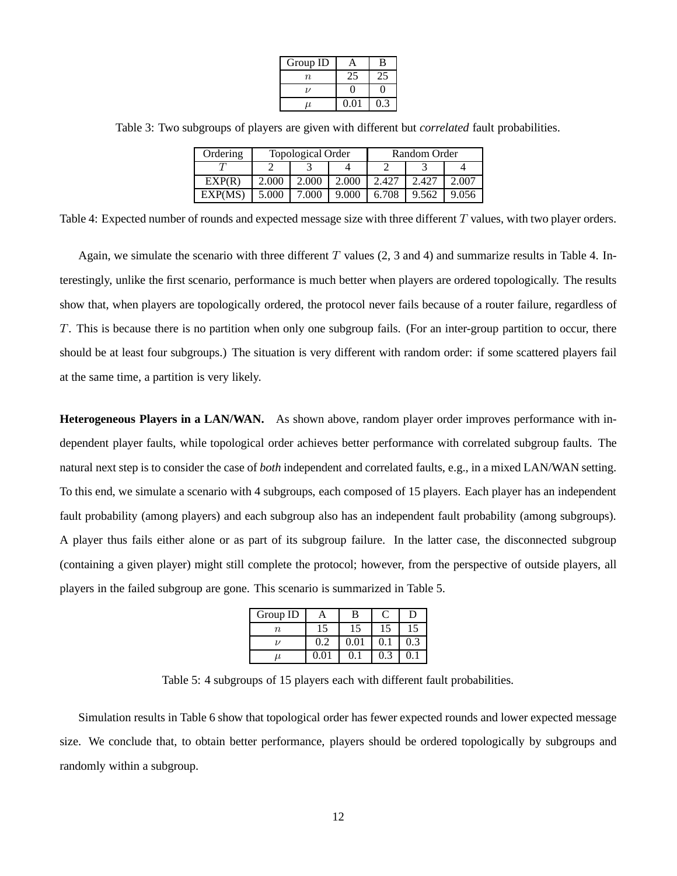| Group ID          |      | B |
|-------------------|------|---|
| n                 |      |   |
| $^{\prime\prime}$ |      |   |
| II.               | 0.01 |   |

Table 3: Two subgroups of players are given with different but *correlated* fault probabilities.

| Ordering | Topological Order |       |       | Random Order |       |       |
|----------|-------------------|-------|-------|--------------|-------|-------|
|          |                   |       |       |              |       |       |
| EXP(R)   | 2.000             | 2.000 | 2.000 | 2.427        | 2.427 | 2.007 |
| EXP(MS)  | 5.000             | 7.000 | 9.000 | 6.708        | 9.562 | 9.056 |

Table 4: Expected number of rounds and expected message size with three different  $T$  values, with two player orders.

Again, we simulate the scenario with three different  $T$  values (2, 3 and 4) and summarize results in Table 4. Interestingly, unlike the first scenario, performance is much better when players are ordered topologically. The results show that, when players are topologically ordered, the protocol never fails because of a router failure, regardless of T. This is because there is no partition when only one subgroup fails. (For an inter-group partition to occur, there should be at least four subgroups.) The situation is very different with random order: if some scattered players fail at the same time, a partition is very likely.

**Heterogeneous Players in a LAN/WAN.** As shown above, random player order improves performance with independent player faults, while topological order achieves better performance with correlated subgroup faults. The natural next step is to consider the case of *both* independent and correlated faults, e.g., in a mixed LAN/WAN setting. To this end, we simulate a scenario with 4 subgroups, each composed of 15 players. Each player has an independent fault probability (among players) and each subgroup also has an independent fault probability (among subgroups). A player thus fails either alone or as part of its subgroup failure. In the latter case, the disconnected subgroup (containing a given player) might still complete the protocol; however, from the perspective of outside players, all players in the failed subgroup are gone. This scenario is summarized in Table 5.

| Group ID |      | B    |    | ו ו |
|----------|------|------|----|-----|
| $\, n$   |      |      | د، |     |
|          | 0.2  | 0.01 |    | 0.3 |
| u        | 0.01 |      |    |     |

Table 5: 4 subgroups of 15 players each with different fault probabilities.

Simulation results in Table 6 show that topological order has fewer expected rounds and lower expected message size. We conclude that, to obtain better performance, players should be ordered topologically by subgroups and randomly within a subgroup.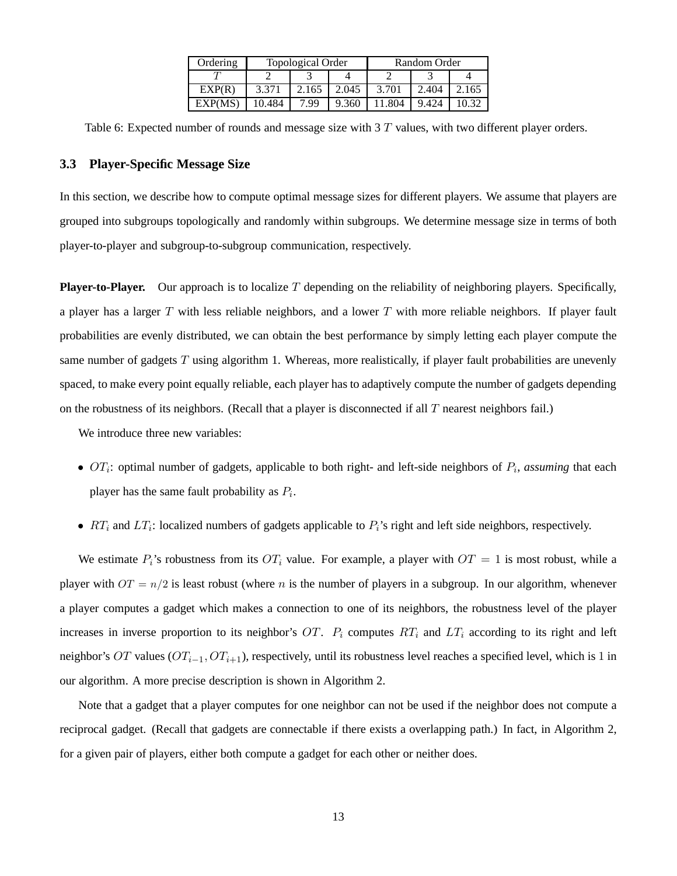| Ordering | <b>Topological Order</b> |       |       | Random Order |       |       |
|----------|--------------------------|-------|-------|--------------|-------|-------|
|          |                          |       |       |              |       |       |
| EXP(R)   | 3.371                    | 2.165 | 2.045 | 3.701        | 2.404 | 2.165 |
| EXP(MS)  | 10.484                   | 7 99  | 9.360 | 1.804        | 9.424 |       |

Table 6: Expected number of rounds and message size with 3 T values, with two different player orders.

### **3.3 Player-Specific Message Size**

In this section, we describe how to compute optimal message sizes for different players. We assume that players are grouped into subgroups topologically and randomly within subgroups. We determine message size in terms of both player-to-player and subgroup-to-subgroup communication, respectively.

**Player-to-Player.** Our approach is to localize T depending on the reliability of neighboring players. Specifically, a player has a larger T with less reliable neighbors, and a lower T with more reliable neighbors. If player fault probabilities are evenly distributed, we can obtain the best performance by simply letting each player compute the same number of gadgets  $T$  using algorithm 1. Whereas, more realistically, if player fault probabilities are unevenly spaced, to make every point equally reliable, each player has to adaptively compute the number of gadgets depending on the robustness of its neighbors. (Recall that a player is disconnected if all  $T$  nearest neighbors fail.)

We introduce three new variables:

- $OT_i$ : optimal number of gadgets, applicable to both right- and left-side neighbors of  $P_i$ , *assuming* that each player has the same fault probability as  $P_i$ .
- $RT_i$  and  $LT_i$ : localized numbers of gadgets applicable to  $P_i$ 's right and left side neighbors, respectively.

We estimate  $P_i$ 's robustness from its  $OT_i$  value. For example, a player with  $OT = 1$  is most robust, while a player with  $OT = n/2$  is least robust (where n is the number of players in a subgroup. In our algorithm, whenever a player computes a gadget which makes a connection to one of its neighbors, the robustness level of the player increases in inverse proportion to its neighbor's  $OT.$   $P_i$  computes  $RT_i$  and  $LT_i$  according to its right and left neighbor's OT values ( $OT_{i-1}$ ,  $OT_{i+1}$ ), respectively, until its robustness level reaches a specified level, which is 1 in our algorithm. A more precise description is shown in Algorithm 2.

Note that a gadget that a player computes for one neighbor can not be used if the neighbor does not compute a reciprocal gadget. (Recall that gadgets are connectable if there exists a overlapping path.) In fact, in Algorithm 2, for a given pair of players, either both compute a gadget for each other or neither does.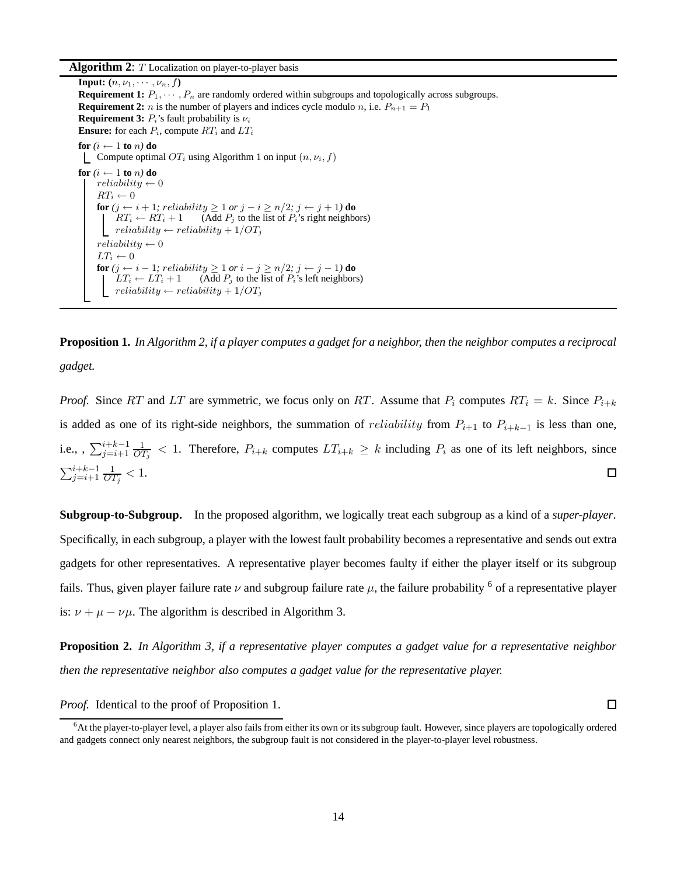**Algorithm 2**: T Localization on player-to-player basis

**Input:**  $(n, \nu_1, \cdots, \nu_n, f)$ **Requirement 1:**  $P_1, \dots, P_n$  are randomly ordered within subgroups and topologically across subgroups. **Requirement 2:** *n* is the number of players and indices cycle modulo *n*, i.e.  $P_{n+1} = P_1$ **Requirement 3:**  $P_i$ 's fault probability is  $\nu_i$ **Ensure:** for each  $P_i$ , compute  $RT_i$  and  $LT_i$ **for**  $(i \leftarrow 1 \text{ to } n)$  **do** Compute optimal  $OT_i$  using Algorithm 1 on input  $(n, \nu_i, f)$ **for**  $(i \leftarrow 1 \text{ to } n)$  **do**  $reliability \leftarrow 0$  $RT_i \leftarrow 0$ **for**  $(j \leftarrow i + 1$ ; reliability  $\geq 1$  *or*  $j - i \geq n/2$ ;  $j \leftarrow j + 1$ **) do**<br>  $\mid RT_i \leftarrow RT_i + 1$  (Add  $P_j$  to the list of  $P_i$ 's right neighbor (Add  $P_j$  to the list of  $P_i$ 's right neighbors)  $reliability \leftarrow reliability + 1/OT_j$  $reliability \leftarrow 0$  $LT_i \leftarrow 0$ **for**  $(j \leftarrow i-1$ ; reliability  $\geq 1$  *or*  $i - j \geq n/2$ ;  $j \leftarrow j-1$ **) do**  $LT_i \leftarrow LT_i + 1$  (Add  $P_j$  to the list of  $P_i$ 's left neighbors)  $reliability \leftarrow reliability + 1/OT_j$ 

**Proposition 1.** *In Algorithm 2, if a player computes a gadget for a neighbor, then the neighbor computes a reciprocal gadget.*

*Proof.* Since RT and LT are symmetric, we focus only on RT. Assume that  $P_i$  computes  $RT_i = k$ . Since  $P_{i+k}$ is added as one of its right-side neighbors, the summation of *reliability* from  $P_{i+1}$  to  $P_{i+k-1}$  is less than one, i.e., ,  $\sum_{j=i+1}^{i+k-1} \frac{1}{OT_j} < 1$ . Therefore,  $P_{i+k}$  computes  $LT_{i+k} \geq k$  including  $P_i$  as one of its left neighbors, since  $\sum_{j=i+1}^{i+k-1} \frac{1}{OT_j} < 1.$  $\Box$ 

**Subgroup-to-Subgroup.** In the proposed algorithm, we logically treat each subgroup as a kind of a *super-player*. Specifically, in each subgroup, a player with the lowest fault probability becomes a representative and sends out extra gadgets for other representatives. A representative player becomes faulty if either the player itself or its subgroup fails. Thus, given player failure rate  $\nu$  and subgroup failure rate  $\mu$ , the failure probability <sup>6</sup> of a representative player is:  $\nu + \mu - \nu\mu$ . The algorithm is described in Algorithm 3.

**Proposition 2.** *In Algorithm 3, if a representative player computes a gadget value for a representative neighbor then the representative neighbor also computes a gadget value for the representative player.*

*Proof.* Identical to the proof of Proposition 1.

 $\Box$ 

<sup>6</sup>At the player-to-player level, a player also fails from either its own or its subgroup fault. However, since players are topologically ordered and gadgets connect only nearest neighbors, the subgroup fault is not considered in the player-to-player level robustness.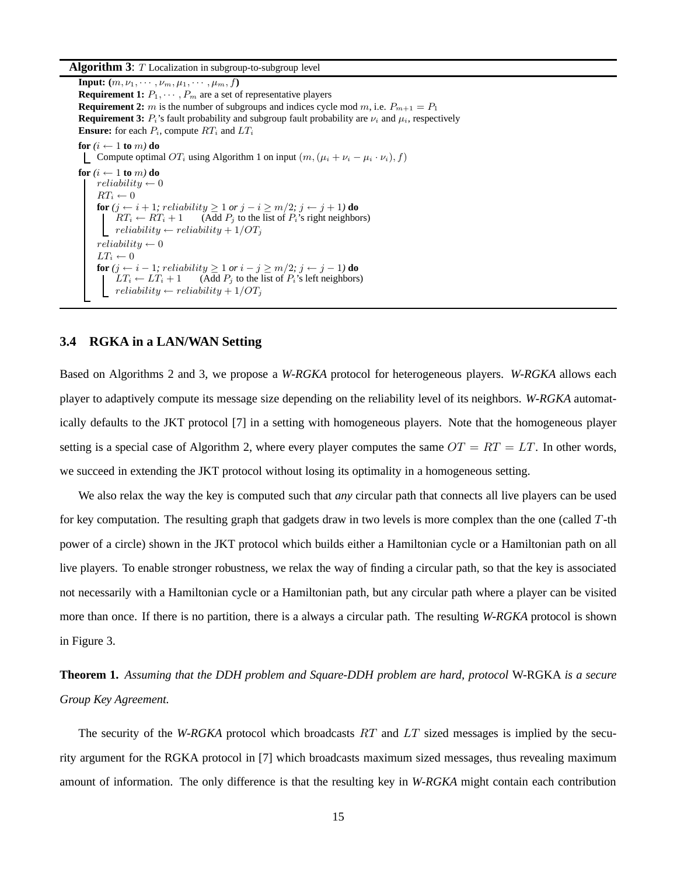**Algorithm 3**: T Localization in subgroup-to-subgroup level

**Input:**  $(m, \nu_1, \cdots, \nu_m, \mu_1, \cdots, \mu_m, f)$ **Requirement 1:**  $P_1, \cdots, P_m$  are a set of representative players **Requirement 2:** m is the number of subgroups and indices cycle mod m, i.e.  $P_{m+1} = P_1$ **Requirement 3:**  $P_i$ 's fault probability and subgroup fault probability are  $\nu_i$  and  $\mu_i$ , respectively **Ensure:** for each  $P_i$ , compute  $RT_i$  and  $LT_i$ **for**  $(i \leftarrow 1$  **to** m **do** Compute optimal  $OT_i$  using Algorithm 1 on input  $(m, (\mu_i + \nu_i - \mu_i \cdot \nu_i), f)$ **for**  $(i \leftarrow 1$  **to** m **do**  $reliability \leftarrow 0$  $RT_i \leftarrow 0$ **for**  $(j \leftarrow i + 1$ ; reliability  $\geq 1$  *or*  $j - i \geq m/2$ ;  $j \leftarrow j + 1$ **) do**<br>  $\mid RT_i \leftarrow RT_i + 1$  (Add  $P_j$  to the list of  $P_i$ 's right neighbo (Add  $P_i$  to the list of  $P_i$ 's right neighbors)  $reliability \leftarrow reliability + 1/OT_j$  $reliability \leftarrow 0$  $LT_i \leftarrow 0$ **for**  $(j \leftarrow i-1$ *;* reliability  $\geq 1$  *or*  $i - j \geq m/2$ *;*  $j \leftarrow j - 1$ *)* **do**  $LT_i \leftarrow LT_i + 1$  (Add  $P_j$  to the list of  $P_i$ 's left neighbors)  $reliability \leftarrow reliability + 1/OT_j$ 

### **3.4 RGKA in a LAN/WAN Setting**

Based on Algorithms 2 and 3, we propose a *W-RGKA* protocol for heterogeneous players. *W-RGKA* allows each player to adaptively compute its message size depending on the reliability level of its neighbors. *W-RGKA* automatically defaults to the JKT protocol [7] in a setting with homogeneous players. Note that the homogeneous player setting is a special case of Algorithm 2, where every player computes the same  $OT = RT = LT$ . In other words, we succeed in extending the JKT protocol without losing its optimality in a homogeneous setting.

We also relax the way the key is computed such that *any* circular path that connects all live players can be used for key computation. The resulting graph that gadgets draw in two levels is more complex than the one (called  $T$ -th power of a circle) shown in the JKT protocol which builds either a Hamiltonian cycle or a Hamiltonian path on all live players. To enable stronger robustness, we relax the way of finding a circular path, so that the key is associated not necessarily with a Hamiltonian cycle or a Hamiltonian path, but any circular path where a player can be visited more than once. If there is no partition, there is a always a circular path. The resulting *W-RGKA* protocol is shown in Figure 3.

**Theorem 1.** *Assuming that the DDH problem and Square-DDH problem are hard, protocol* W-RGKA *is a secure Group Key Agreement.*

The security of the *W-RGKA* protocol which broadcasts RT and LT sized messages is implied by the security argument for the RGKA protocol in [7] which broadcasts maximum sized messages, thus revealing maximum amount of information. The only difference is that the resulting key in *W-RGKA* might contain each contribution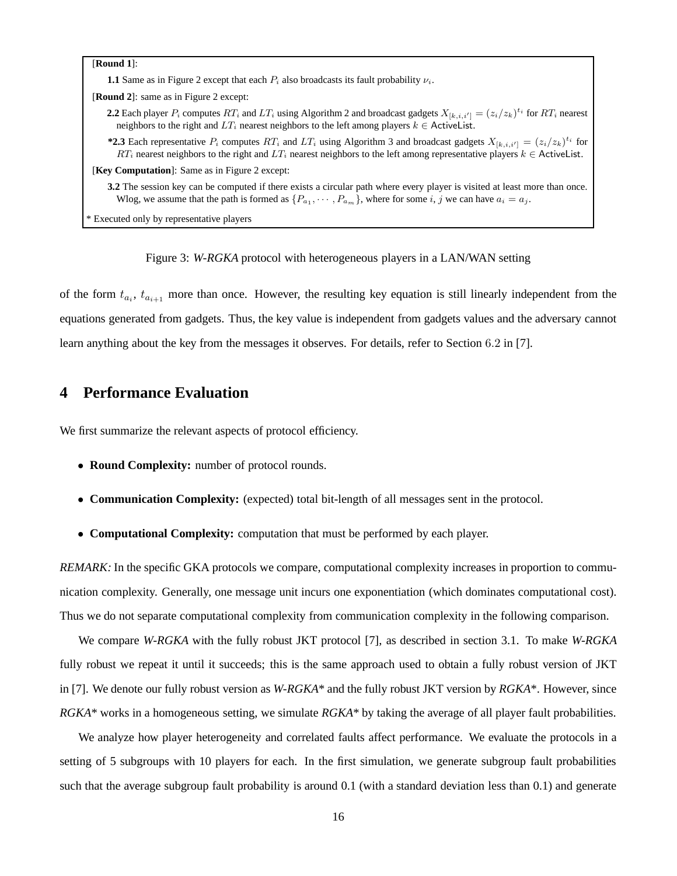[**Round 1**]:

**1.1** Same as in Figure 2 except that each  $P_i$  also broadcasts its fault probability  $\nu_i$ .

[**Round 2**]: same as in Figure 2 except:

**2.2** Each player  $P_i$  computes  $RT_i$  and  $LT_i$  using Algorithm 2 and broadcast gadgets  $X_{[k,i,i']}=(z_i/z_k)^{t_i}$  for  $RT_i$  nearest neighbors to the right and  $LT_i$  nearest neighbors to the left among players  $k \in$  ActiveList.

**\*2.3** Each representative  $P_i$  computes  $RT_i$  and  $LT_i$  using Algorithm 3 and broadcast gadgets  $X_{[k,i,i']} = (z_i/z_k)^{t_i}$  for RT<sub>i</sub> nearest neighbors to the right and LT<sub>i</sub> nearest neighbors to the left among representative players  $k \in$  ActiveList.

[**Key Computation**]: Same as in Figure 2 except:

**3.2** The session key can be computed if there exists a circular path where every player is visited at least more than once. Wlog, we assume that the path is formed as  $\{P_{a_1}, \dots, P_{a_m}\}$ , where for some i, j we can have  $a_i = a_j$ .

\* Executed only by representative players

Figure 3: *W-RGKA* protocol with heterogeneous players in a LAN/WAN setting

of the form  $t_{a_i}$ ,  $t_{a_{i+1}}$  more than once. However, the resulting key equation is still linearly independent from the equations generated from gadgets. Thus, the key value is independent from gadgets values and the adversary cannot learn anything about the key from the messages it observes. For details, refer to Section 6.2 in [7].

### **4 Performance Evaluation**

We first summarize the relevant aspects of protocol efficiency.

- **Round Complexity:** number of protocol rounds.
- **Communication Complexity:** (expected) total bit-length of all messages sent in the protocol.
- **Computational Complexity:** computation that must be performed by each player.

*REMARK:* In the specific GKA protocols we compare, computational complexity increases in proportion to communication complexity. Generally, one message unit incurs one exponentiation (which dominates computational cost). Thus we do not separate computational complexity from communication complexity in the following comparison.

We compare *W-RGKA* with the fully robust JKT protocol [7], as described in section 3.1. To make *W-RGKA* fully robust we repeat it until it succeeds; this is the same approach used to obtain a fully robust version of JKT in [7]. We denote our fully robust version as *W-RGKA*\* and the fully robust JKT version by *RGKA*\*. However, since *RGKA*\* works in a homogeneous setting, we simulate *RGKA*\* by taking the average of all player fault probabilities.

We analyze how player heterogeneity and correlated faults affect performance. We evaluate the protocols in a setting of 5 subgroups with 10 players for each. In the first simulation, we generate subgroup fault probabilities such that the average subgroup fault probability is around 0.1 (with a standard deviation less than 0.1) and generate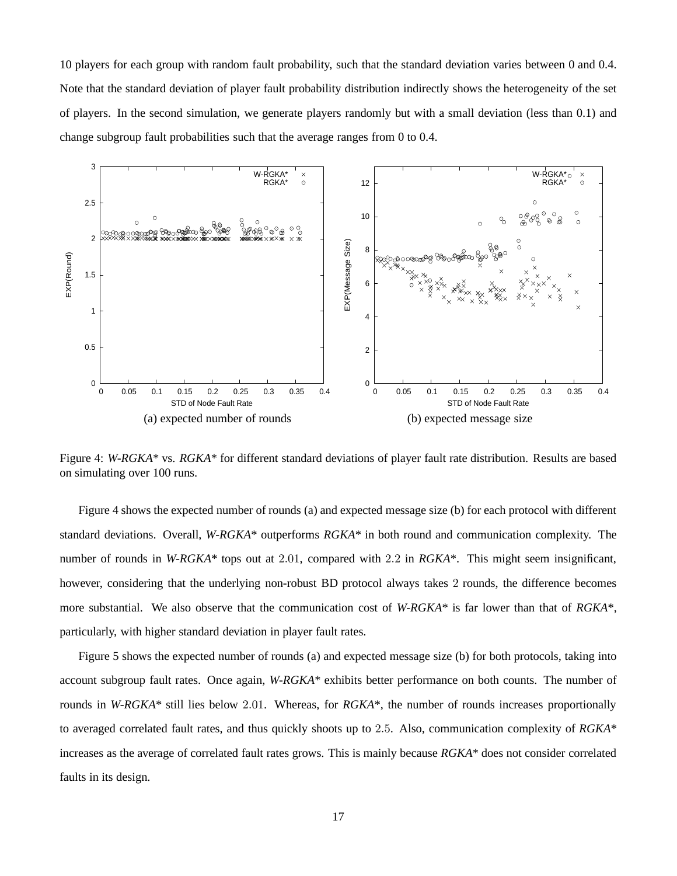10 players for each group with random fault probability, such that the standard deviation varies between 0 and 0.4. Note that the standard deviation of player fault probability distribution indirectly shows the heterogeneity of the set of players. In the second simulation, we generate players randomly but with a small deviation (less than 0.1) and change subgroup fault probabilities such that the average ranges from 0 to 0.4.



Figure 4: *W-RGKA*\* vs. *RGKA*\* for different standard deviations of player fault rate distribution. Results are based on simulating over 100 runs.

Figure 4 shows the expected number of rounds (a) and expected message size (b) for each protocol with different standard deviations. Overall, *W-RGKA*\* outperforms *RGKA*\* in both round and communication complexity. The number of rounds in *W-RGKA*\* tops out at 2.01, compared with 2.2 in *RGKA*\*. This might seem insignificant, however, considering that the underlying non-robust BD protocol always takes 2 rounds, the difference becomes more substantial. We also observe that the communication cost of *W-RGKA*\* is far lower than that of *RGKA*\*, particularly, with higher standard deviation in player fault rates.

Figure 5 shows the expected number of rounds (a) and expected message size (b) for both protocols, taking into account subgroup fault rates. Once again, *W-RGKA*\* exhibits better performance on both counts. The number of rounds in *W-RGKA*\* still lies below 2.01. Whereas, for *RGKA*\*, the number of rounds increases proportionally to averaged correlated fault rates, and thus quickly shoots up to 2.5. Also, communication complexity of *RGKA*\* increases as the average of correlated fault rates grows. This is mainly because *RGKA*\* does not consider correlated faults in its design.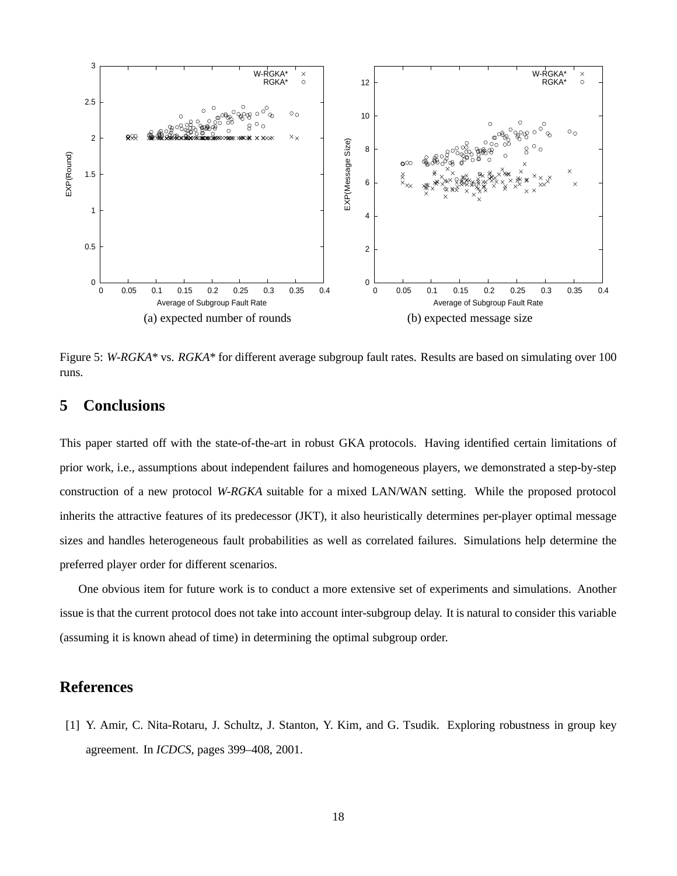

Figure 5: *W-RGKA*\* vs. *RGKA*\* for different average subgroup fault rates. Results are based on simulating over 100 runs.

# **5 Conclusions**

This paper started off with the state-of-the-art in robust GKA protocols. Having identified certain limitations of prior work, i.e., assumptions about independent failures and homogeneous players, we demonstrated a step-by-step construction of a new protocol *W-RGKA* suitable for a mixed LAN/WAN setting. While the proposed protocol inherits the attractive features of its predecessor (JKT), it also heuristically determines per-player optimal message sizes and handles heterogeneous fault probabilities as well as correlated failures. Simulations help determine the preferred player order for different scenarios.

One obvious item for future work is to conduct a more extensive set of experiments and simulations. Another issue is that the current protocol does not take into account inter-subgroup delay. It is natural to consider this variable (assuming it is known ahead of time) in determining the optimal subgroup order.

### **References**

[1] Y. Amir, C. Nita-Rotaru, J. Schultz, J. Stanton, Y. Kim, and G. Tsudik. Exploring robustness in group key agreement. In *ICDCS*, pages 399–408, 2001.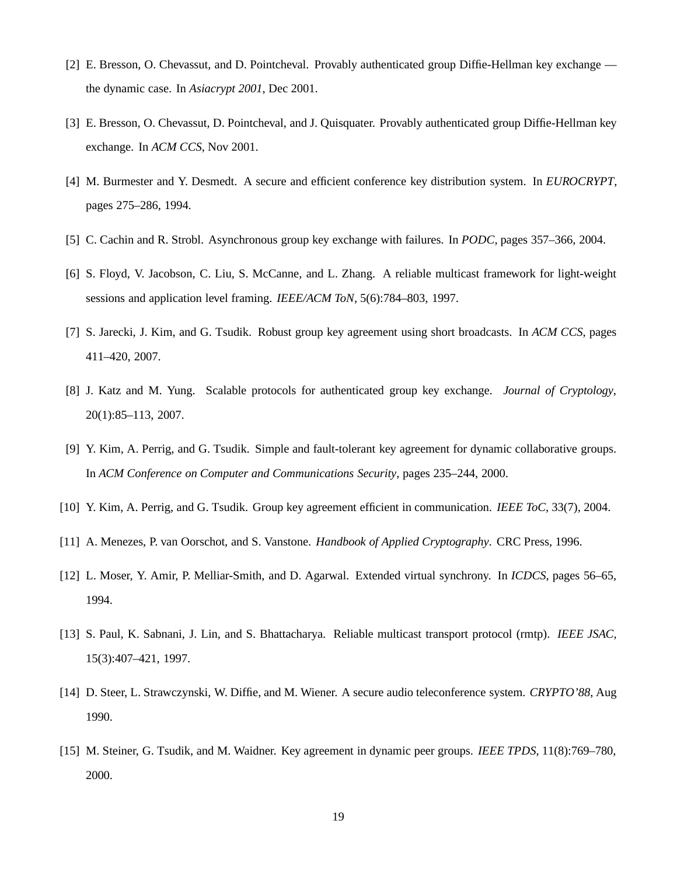- [2] E. Bresson, O. Chevassut, and D. Pointcheval. Provably authenticated group Diffie-Hellman key exchange the dynamic case. In *Asiacrypt 2001*, Dec 2001.
- [3] E. Bresson, O. Chevassut, D. Pointcheval, and J. Quisquater. Provably authenticated group Diffie-Hellman key exchange. In *ACM CCS*, Nov 2001.
- [4] M. Burmester and Y. Desmedt. A secure and efficient conference key distribution system. In *EUROCRYPT*, pages 275–286, 1994.
- [5] C. Cachin and R. Strobl. Asynchronous group key exchange with failures. In *PODC*, pages 357–366, 2004.
- [6] S. Floyd, V. Jacobson, C. Liu, S. McCanne, and L. Zhang. A reliable multicast framework for light-weight sessions and application level framing. *IEEE/ACM ToN*, 5(6):784–803, 1997.
- [7] S. Jarecki, J. Kim, and G. Tsudik. Robust group key agreement using short broadcasts. In *ACM CCS*, pages 411–420, 2007.
- [8] J. Katz and M. Yung. Scalable protocols for authenticated group key exchange. *Journal of Cryptology*, 20(1):85–113, 2007.
- [9] Y. Kim, A. Perrig, and G. Tsudik. Simple and fault-tolerant key agreement for dynamic collaborative groups. In *ACM Conference on Computer and Communications Security*, pages 235–244, 2000.
- [10] Y. Kim, A. Perrig, and G. Tsudik. Group key agreement efficient in communication. *IEEE ToC*, 33(7), 2004.
- [11] A. Menezes, P. van Oorschot, and S. Vanstone. *Handbook of Applied Cryptography*. CRC Press, 1996.
- [12] L. Moser, Y. Amir, P. Melliar-Smith, and D. Agarwal. Extended virtual synchrony. In *ICDCS*, pages 56–65, 1994.
- [13] S. Paul, K. Sabnani, J. Lin, and S. Bhattacharya. Reliable multicast transport protocol (rmtp). *IEEE JSAC*, 15(3):407–421, 1997.
- [14] D. Steer, L. Strawczynski, W. Diffie, and M. Wiener. A secure audio teleconference system. *CRYPTO'88*, Aug 1990.
- [15] M. Steiner, G. Tsudik, and M. Waidner. Key agreement in dynamic peer groups. *IEEE TPDS*, 11(8):769–780, 2000.